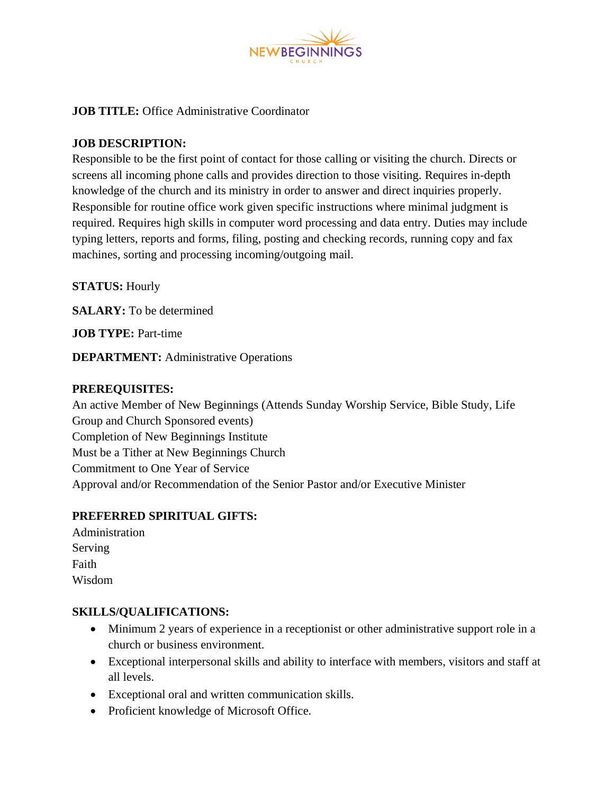

**JOB TITLE:** Office Administrative Coordinator

### **JOB DESCRIPTION:**

Responsible to be the first point of contact for those calling or visiting the church. Directs or screens all incoming phone calls and provides direction to those visiting. Requires in-depth knowledge of the church and its ministry in order to answer and direct inquiries properly. Responsible for routine office work given specific instructions where minimal judgment is required. Requires high skills in computer word processing and data entry. Duties may include typing letters, reports and forms, filing, posting and checking records, running copy and fax machines, sorting and processing incoming/outgoing mail.

**STATUS:** Hourly

**SALARY:** To be determined

**JOB TYPE:** Part-time

**DEPARTMENT:** Administrative Operations

#### **PREREQUISITES:**

An active Member of New Beginnings (Attends Sunday Worship Service, Bible Study, Life Group and Church Sponsored events) Completion of New Beginnings Institute Must be a Tither at New Beginnings Church Commitment to One Year of Service Approval and/or Recommendation of the Senior Pastor and/or Executive Minister

## **PREFERRED SPIRITUAL GIFTS:**

Administration Serving Faith Wisdom

#### **SKILLS/QUALIFICATIONS:**

- Minimum 2 years of experience in a receptionist or other administrative support role in a church or business environment.
- Exceptional interpersonal skills and ability to interface with members, visitors and staff at all levels.
- Exceptional oral and written communication skills.
- Proficient knowledge of Microsoft Office.